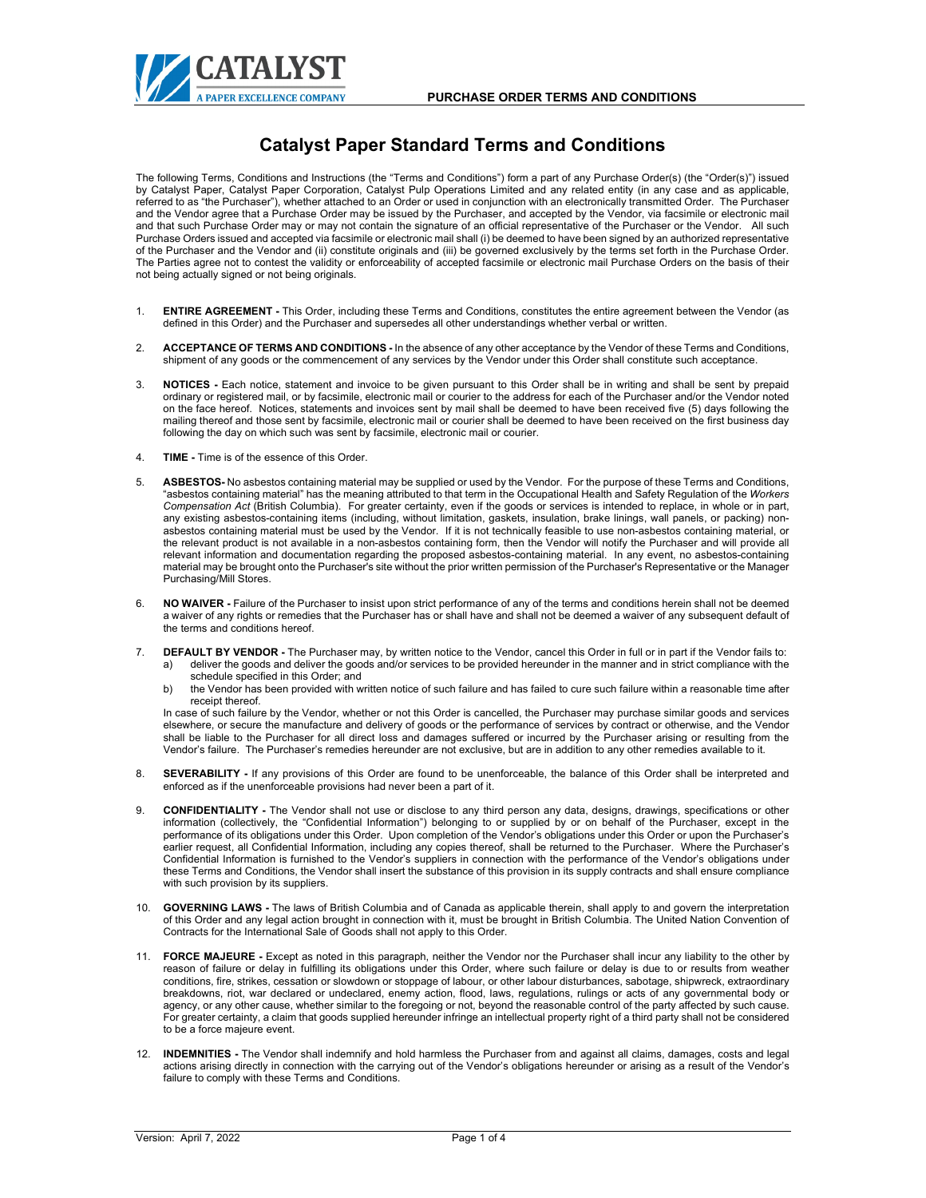

## **Catalyst Paper Standard Terms and Conditions**

The following Terms, Conditions and Instructions (the "Terms and Conditions") form a part of any Purchase Order(s) (the "Order(s)") issued by Catalyst Paper, Catalyst Paper Corporation, Catalyst Pulp Operations Limited and any related entity (in any case and as applicable, referred to as "the Purchaser"), whether attached to an Order or used in conjunction with an electronically transmitted Order. The Purchaser and the Vendor agree that a Purchase Order may be issued by the Purchaser, and accepted by the Vendor, via facsimile or electronic mail and that such Purchase Order may or may not contain the signature of an official representative of the Purchaser or the Vendor. All such Purchase Orders issued and accepted via facsimile or electronic mail shall (i) be deemed to have been signed by an authorized representative of the Purchaser and the Vendor and (ii) constitute originals and (iii) be governed exclusively by the terms set forth in the Purchase Order. The Parties agree not to contest the validity or enforceability of accepted facsimile or electronic mail Purchase Orders on the basis of their not being actually signed or not being originals.

- 1. **ENTIRE AGREEMENT -** This Order, including these Terms and Conditions, constitutes the entire agreement between the Vendor (as defined in this Order) and the Purchaser and supersedes all other understandings whether verbal or written.
- 2. **ACCEPTANCE OF TERMS AND CONDITIONS -** In the absence of any other acceptance by the Vendor of these Terms and Conditions, shipment of any goods or the commencement of any services by the Vendor under this Order shall constitute such acceptance.
- 3. **NOTICES -** Each notice, statement and invoice to be given pursuant to this Order shall be in writing and shall be sent by prepaid ordinary or registered mail, or by facsimile, electronic mail or courier to the address for each of the Purchaser and/or the Vendor noted on the face hereof. Notices, statements and invoices sent by mail shall be deemed to have been received five (5) days following the mailing thereof and those sent by facsimile, electronic mail or courier shall be deemed to have been received on the first business day following the day on which such was sent by facsimile, electronic mail or courier.
- 4. **TIME -** Time is of the essence of this Order.
- 5. **ASBESTOS-** No asbestos containing material may be supplied or used by the Vendor. For the purpose of these Terms and Conditions, "asbestos containing material" has the meaning attributed to that term in the Occupational Health and Safety Regulation of the *Workers Compensation Act* (British Columbia). For greater certainty, even if the goods or services is intended to replace, in whole or in part, any existing asbestos-containing items (including, without limitation, gaskets, insulation, brake linings, wall panels, or packing) nonasbestos containing material must be used by the Vendor. If it is not technically feasible to use non-asbestos containing material, or the relevant product is not available in a non-asbestos containing form, then the Vendor will notify the Purchaser and will provide all relevant information and documentation regarding the proposed asbestos-containing material. In any event, no asbestos-containing material may be brought onto the Purchaser's site without the prior written permission of the Purchaser's Representative or the Manager Purchasing/Mill Stores.
- 6. **NO WAIVER -** Failure of the Purchaser to insist upon strict performance of any of the terms and conditions herein shall not be deemed a waiver of any rights or remedies that the Purchaser has or shall have and shall not be deemed a waiver of any subsequent default of the terms and conditions hereof.
- 7. **DEFAULT BY VENDOR -** The Purchaser may, by written notice to the Vendor, cancel this Order in full or in part if the Vendor fails to: a) deliver the goods and deliver the goods and/or services to be provided hereunder in the manner and in strict compliance with the schedule specified in this Order: and
	- b) the Vendor has been provided with written notice of such failure and has failed to cure such failure within a reasonable time after receipt thereof.

In case of such failure by the Vendor, whether or not this Order is cancelled, the Purchaser may purchase similar goods and services elsewhere, or secure the manufacture and delivery of goods or the performance of services by contract or otherwise, and the Vendor shall be liable to the Purchaser for all direct loss and damages suffered or incurred by the Purchaser arising or resulting from the Vendor's failure. The Purchaser's remedies hereunder are not exclusive, but are in addition to any other remedies available to it.

- 8. **SEVERABILITY -** If any provisions of this Order are found to be unenforceable, the balance of this Order shall be interpreted and enforced as if the unenforceable provisions had never been a part of it.
- 9. **CONFIDENTIALITY -** The Vendor shall not use or disclose to any third person any data, designs, drawings, specifications or other information (collectively, the "Confidential Information") belonging to or supplied by or on behalf of the Purchaser, except in the performance of its obligations under this Order. Upon completion of the Vendor's obligations under this Order or upon the Purchaser's earlier request, all Confidential Information, including any copies thereof, shall be returned to the Purchaser. Where the Purchaser's Confidential Information is furnished to the Vendor's suppliers in connection with the performance of the Vendor's obligations under these Terms and Conditions, the Vendor shall insert the substance of this provision in its supply contracts and shall ensure compliance with such provision by its suppliers.
- 10. **GOVERNING LAWS -** The laws of British Columbia and of Canada as applicable therein, shall apply to and govern the interpretation<br>of this Order and any legal action brought in connection with it, must be brought in Bri Contracts for the International Sale of Goods shall not apply to this Order.
- 11. **FORCE MAJEURE -** Except as noted in this paragraph, neither the Vendor nor the Purchaser shall incur any liability to the other by reason of failure or delay in fulfilling its obligations under this Order, where such failure or delay is due to or results from weather conditions, fire, strikes, cessation or slowdown or stoppage of labour, or other labour disturbances, sabotage, shipwreck, extraordinary breakdowns, riot, war declared or undeclared, enemy action, flood, laws, regulations, rulings or acts of any governmental body or agency, or any other cause, whether similar to the foregoing or not, beyond the reasonable control of the party affected by such cause. For greater certainty, a claim that goods supplied hereunder infringe an intellectual property right of a third party shall not be considered to be a force majeure event.
- 12. **INDEMNITIES -** The Vendor shall indemnify and hold harmless the Purchaser from and against all claims, damages, costs and legal actions arising directly in connection with the carrying out of the Vendor's obligations hereunder or arising as a result of the Vendor's failure to comply with these Terms and Conditions.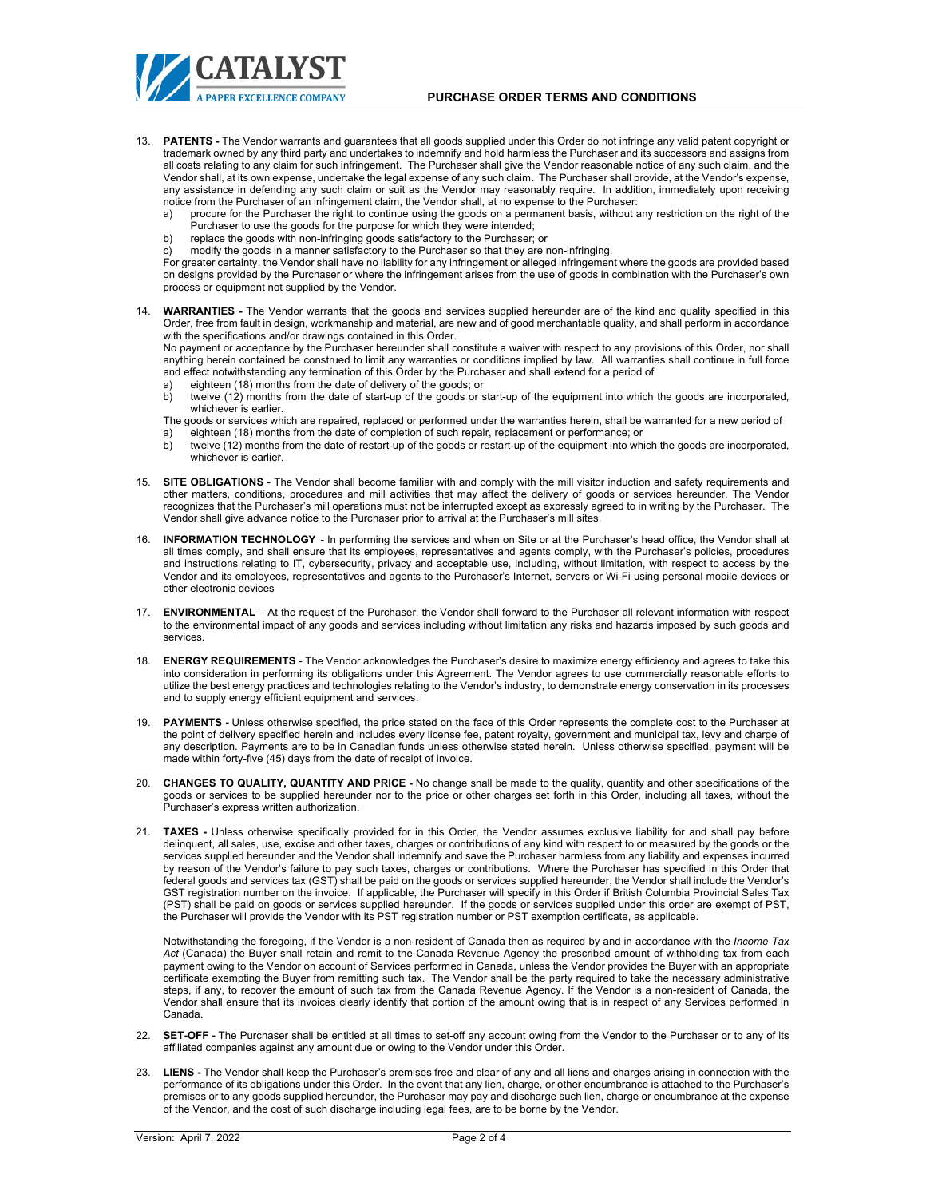CATALYST

- 13. **PATENTS -** The Vendor warrants and guarantees that all goods supplied under this Order do not infringe any valid patent copyright or trademark owned by any third party and undertakes to indemnify and hold harmless the Purchaser and its successors and assigns from all costs relating to any claim for such infringement. The Purchaser shall give the Vendor reasonable notice of any such claim, and the Vendor shall, at its own expense, undertake the legal expense of any such claim. The Purchaser shall provide, at the Vendor's expense, any assistance in defending any such claim or suit as the Vendor may reasonably require. In addition, immediately upon receiving notice from the Purchaser of an infringement claim, the Vendor shall, at no expense to the Purchaser:
	- a) procure for the Purchaser the right to continue using the goods on a permanent basis, without any restriction on the right of the Purchaser to use the goods for the purpose for which they were intended;
	- b) replace the goods with non-infringing goods satisfactory to the Purchaser; or
	- modify the goods in a manner satisfactory to the Purchaser so that they are non-infringing.

For greater certainty, the Vendor shall have no liability for any infringement or alleged infringement where the goods are provided based on designs provided by the Purchaser or where the infringement arises from the use of goods in combination with the Purchaser's own process or equipment not supplied by the Vendor.

14. **WARRANTIES -** The Vendor warrants that the goods and services supplied hereunder are of the kind and quality specified in this Order, free from fault in design, workmanship and material, are new and of good merchantable quality, and shall perform in accordance with the specifications and/or drawings contained in this Order.

No payment or acceptance by the Purchaser hereunder shall constitute a waiver with respect to any provisions of this Order, nor shall anything herein contained be construed to limit any warranties or conditions implied by law. All warranties shall continue in full force and effect notwithstanding any termination of this Order by the Purchaser and shall extend for a period of

- a) eighteen (18) months from the date of delivery of the goods; or
- b) twelve (12) months from the date of start-up of the goods or start-up of the equipment into which the goods are incorporated, whichever is earlier.
- The goods or services which are repaired, replaced or performed under the warranties herein, shall be warranted for a new period of a) eighteen (18) months from the date of completion of such repair, replacement or performance; or<br>b) twelve (12) months from the date of restart-up of the goods or restart-up of the equipment into wh
- b) twelve (12) months from the date of restart-up of the goods or restart-up of the equipment into which the goods are incorporated, whichever is earlier.
- 15. **SITE OBLIGATIONS**  The Vendor shall become familiar with and comply with the mill visitor induction and safety requirements and other matters, conditions, procedures and mill activities that may affect the delivery of goods or services hereunder. The Vendor recognizes that the Purchaser's mill operations must not be interrupted except as expressly agreed to in writing by the Purchaser. The Vendor shall give advance notice to the Purchaser prior to arrival at the Purchaser's mill sites.
- 16. **INFORMATION TECHNOLOGY** In performing the services and when on Site or at the Purchaser's head office, the Vendor shall at all times comply, and shall ensure that its employees, representatives and agents comply, with the Purchaser's policies, procedures and instructions relating to IT, cybersecurity, privacy and acceptable use, including, without limitation, with respect to access by the Vendor and its employees, representatives and agents to the Purchaser's Internet, servers or Wi-Fi using personal mobile devices or other electronic devices
- 17. **ENVIRONMENTAL** At the request of the Purchaser, the Vendor shall forward to the Purchaser all relevant information with respect to the environmental impact of any goods and services including without limitation any risks and hazards imposed by such goods and services.
- 18. **ENERGY REQUIREMENTS** The Vendor acknowledges the Purchaser's desire to maximize energy efficiency and agrees to take this into consideration in performing its obligations under this Agreement. The Vendor agrees to use commercially reasonable efforts to utilize the best energy practices and technologies relating to the Vendor's industry, to demonstrate energy conservation in its processes and to supply energy efficient equipment and services.
- 19. **PAYMENTS -** Unless otherwise specified, the price stated on the face of this Order represents the complete cost to the Purchaser at the point of delivery specified herein and includes every license fee, patent royalty, government and municipal tax, levy and charge of any description. Payments are to be in Canadian funds unless otherwise stated herein. Unless otherwise specified, payment will be made within forty-five (45) days from the date of receipt of invoice.
- 20. **CHANGES TO QUALITY, QUANTITY AND PRICE -** No change shall be made to the quality, quantity and other specifications of the goods or services to be supplied hereunder nor to the price or other charges set forth in this Order, including all taxes, without the Purchaser's express written authorization.
- 21. **TAXES**-Unless otherwise specifically provided for in this Order, the Vendor assumes exclusive liability for and shall pay before<br>delinquent, all sales, use, excise and other taxes, charges or contributions of any kin services supplied hereunder and the Vendor shall indemnify and save the Purchaser harmless from any liability and expenses incurred by reason of the Vendor's failure to pay such taxes, charges or contributions. Where the Purchaser has specified in this Order that federal goods and services tax (GST) shall be paid on the goods or services supplied hereunder, the Vendor shall include the Vendor's GST registration number on the invoice. If applicable, the Purchaser will specify in this Order if British Columbia Provincial Sales Tax (PST) shall be paid on goods or services supplied hereunder. If the goods or services supplied under this order are exempt of PST, the Purchaser will provide the Vendor with its PST registration number or PST exemption certificate, as applicable.

Notwithstanding the foregoing, if the Vendor is a non-resident of Canada then as required by and in accordance with the *Income Tax Act* (Canada) the Buyer shall retain and remit to the Canada Revenue Agency the prescribed amount of withholding tax from each payment owing to the Vendor on account of Services performed in Canada, unless the Vendor provides the Buyer with an appropriate certificate exempting the Buyer from remitting such tax. The Vendor shall be the party required to take the necessary administrative steps, if any, to recover the amount of such tax from the Canada Revenue Agency. If the Vendor is a non-resident of Canada, the Vendor shall ensure that its invoices clearly identify that portion of the amount owing that is in respect of any Services performed in Canada.

- 22. **SET-OFF -** The Purchaser shall be entitled at all times to set-off any account owing from the Vendor to the Purchaser or to any of its affiliated companies against any amount due or owing to the Vendor under this Order.
- 23. **LIENS -** The Vendor shall keep the Purchaser's premises free and clear of any and all liens and charges arising in connection with the performance of its obligations under this Order. In the event that any lien, charge, or other encumbrance is attached to the Purchaser's premises or to any goods supplied hereunder, the Purchaser may pay and discharge such lien, charge or encumbrance at the expense of the Vendor, and the cost of such discharge including legal fees, are to be borne by the Vendor.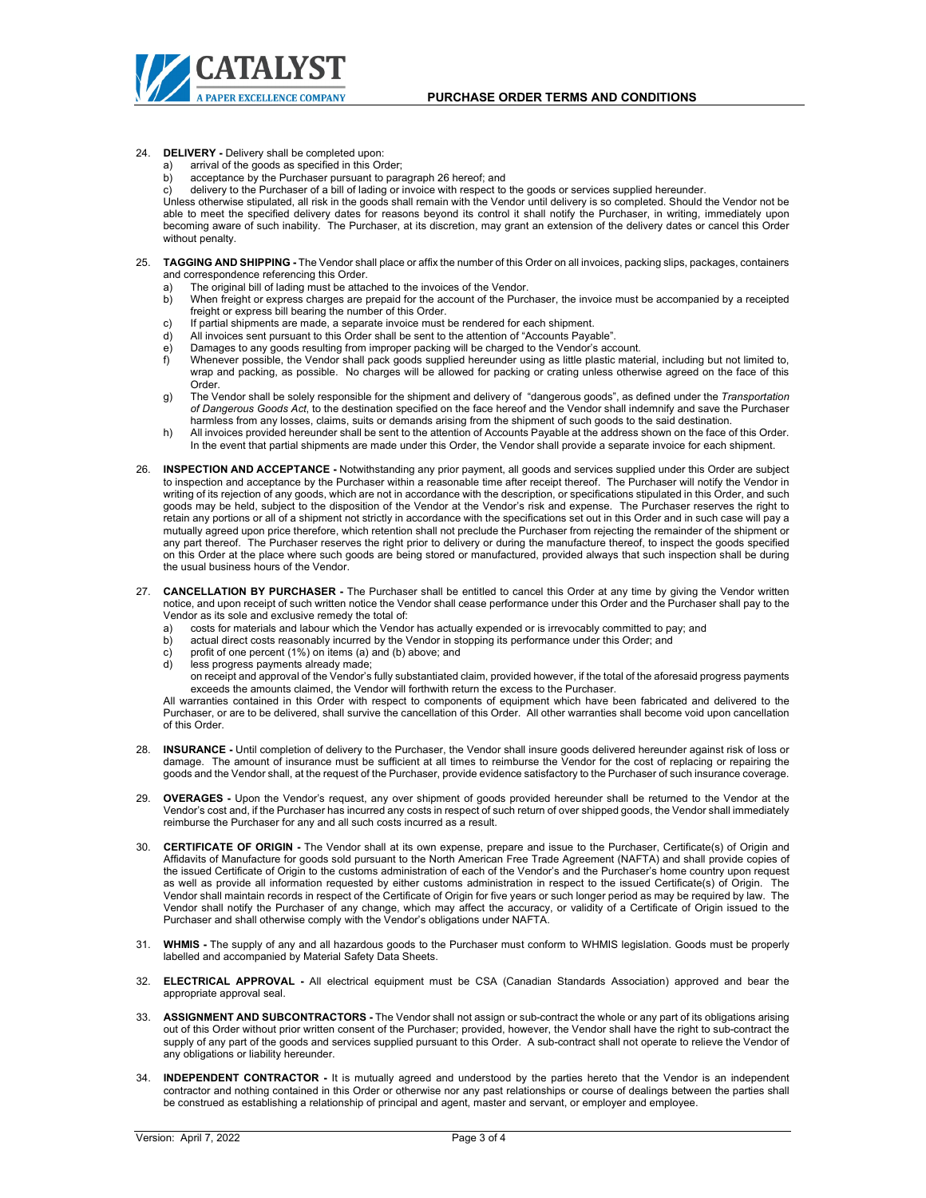## 24. **DELIVERY -** Delivery shall be completed upon:

- a) arrival of the goods as specified in this Order;
- b) acceptance by the Purchaser pursuant to paragrap[h 26](#page-2-0) hereof; and
- delivery to the Purchaser of a bill of lading or invoice with respect to the goods or services supplied hereunder.

Unless otherwise stipulated, all risk in the goods shall remain with the Vendor until delivery is so completed. Should the Vendor not be able to meet the specified delivery dates for reasons beyond its control it shall notify the Purchaser, in writing, immediately upon becoming aware of such inability. The Purchaser, at its discretion, may grant an extension of the delivery dates or cancel this Order without penalty.

- 25. **TAGGING AND SHIPPING -** The Vendor shall place or affix the number of this Order on all invoices, packing slips, packages, containers and correspondence referencing this Order.
	- a) The original bill of lading must be attached to the invoices of the Vendor.<br>b) When freight or express charges are prepaid for the account of the Purc
	- b) When freight or express charges are prepaid for the account of the Purchaser, the invoice must be accompanied by a receipted freight or express bill bearing the number of this Order.
	- c) If partial shipments are made, a separate invoice must be rendered for each shipment.<br>d) All invoices sent pursuant to this Order shall be sent to the attention of "Accounts Paya
	- d) All invoices sent pursuant to this Order shall be sent to the attention of "Accounts Payable".
	- e) Damages to any goods resulting from improper packing will be charged to the Vendor's account.
	- Whenever possible, the Vendor shall pack goods supplied hereunder using as little plastic material, including but not limited to, wrap and packing, as possible. No charges will be allowed for packing or crating unless otherwise agreed on the face of this Order.
	- g) The Vendor shall be solely responsible for the shipment and delivery of "dangerous goods", as defined under the *Transportation of Dangerous Goods Act*, to the destination specified on the face hereof and the Vendor shall indemnify and save the Purchaser<br>harmless from any losses, claims, suits or demands arising from the shipment of such goods to
	- h) All invoices provided hereunder shall be sent to the attention of Accounts Payable at the address shown on the face of this Order. In the event that partial shipments are made under this Order, the Vendor shall provide a separate invoice for each shipment.
- <span id="page-2-0"></span>26. **INSPECTION AND ACCEPTANCE -** Notwithstanding any prior payment, all goods and services supplied under this Order are subject to inspection and acceptance by the Purchaser within a reasonable time after receipt thereof. The Purchaser will notify the Vendor in writing of its rejection of any goods, which are not in accordance with the description, or specifications stipulated in this Order, and such goods may be held, subject to the disposition of the Vendor at the Vendor's risk and expense. The Purchaser reserves the right to retain any portions or all of a shipment not strictly in accordance with the specifications set out in this Order and in such case will pay a mutually agreed upon price therefore, which retention shall not preclude the Purchaser from rejecting the remainder of the shipment or any part thereof. The Purchaser reserves the right prior to delivery or during the manufacture thereof, to inspect the goods specified on this Order at the place where such goods are being stored or manufactured, provided always that such inspection shall be during the usual business hours of the Vendor.
- 27. **CANCELLATION BY PURCHASER -** The Purchaser shall be entitled to cancel this Order at any time by giving the Vendor written notice, and upon receipt of such written notice the Vendor shall cease performance under this Order and the Purchaser shall pay to the Vendor as its sole and exclusive remedy the total of:
	- a) costs for materials and labour which the Vendor has actually expended or is irrevocably committed to pay; and
	- b) actual direct costs reasonably incurred by the Vendor in stopping its performance under this Order; and
	- c) profit of one percent (1%) on items (a) and (b) above; and
	- d) less progress payments already made;

on receipt and approval of the Vendor's fully substantiated claim, provided however, if the total of the aforesaid progress payments exceeds the amounts claimed, the Vendor will forthwith return the excess to the Purchaser.

All warranties contained in this Order with respect to components of equipment which have been fabricated and delivered to the Purchaser, or are to be delivered, shall survive the cancellation of this Order. All other warranties shall become void upon cancellation of this Order.

- 28. **INSURANCE -** Until completion of delivery to the Purchaser, the Vendor shall insure goods delivered hereunder against risk of loss or damage. The amount of insurance must be sufficient at all times to reimburse the Vendor for the cost of replacing or repairing the goods and the Vendor shall, at the request of the Purchaser, provide evidence satisfactory to the Purchaser of such insurance coverage.
- 29. **OVERAGES -** Upon the Vendor's request, any over shipment of goods provided hereunder shall be returned to the Vendor at the Vendor's cost and, if the Purchaser has incurred any costs in respect of such return of over shipped goods, the Vendor shall immediately reimburse the Purchaser for any and all such costs incurred as a result.
- 30. **CERTIFICATE OF ORIGIN -** The Vendor shall at its own expense, prepare and issue to the Purchaser, Certificate(s) of Origin and Affidavits of Manufacture for goods sold pursuant to the North American Free Trade Agreement (NAFTA) and shall provide copies of the issued Certificate of Origin to the customs administration of each of the Vendor's and the Purchaser's home country upon request as well as provide all information requested by either customs administration in respect to the issued Certificate(s) of Origin. The Vendor shall maintain records in respect of the Certificate of Origin for five years or such longer period as may be required by law. The Vendor shall notify the Purchaser of any change, which may affect the accuracy, or validity of a Certificate of Origin issued to the Purchaser and shall otherwise comply with the Vendor's obligations under NAFTA.
- 31. **WHMIS -** The supply of any and all hazardous goods to the Purchaser must conform to WHMIS legislation. Goods must be properly labelled and accompanied by Material Safety Data Sheets.
- 32. **ELECTRICAL APPROVAL -** All electrical equipment must be CSA (Canadian Standards Association) approved and bear the appropriate approval seal.
- 33. **ASSIGNMENT AND SUBCONTRACTORS -** The Vendor shall not assign or sub-contract the whole or any part of its obligations arising out of this Order without prior written consent of the Purchaser; provided, however, the Vendor shall have the right to sub-contract the supply of any part of the goods and services supplied pursuant to this Order. A sub-contract shall not operate to relieve the Vendor of any obligations or liability hereunder.
- 34. **INDEPENDENT CONTRACTOR -** It is mutually agreed and understood by the parties hereto that the Vendor is an independent contractor and nothing contained in this Order or otherwise nor any past relationships or course of dealings between the parties shall be construed as establishing a relationship of principal and agent, master and servant, or employer and employee.